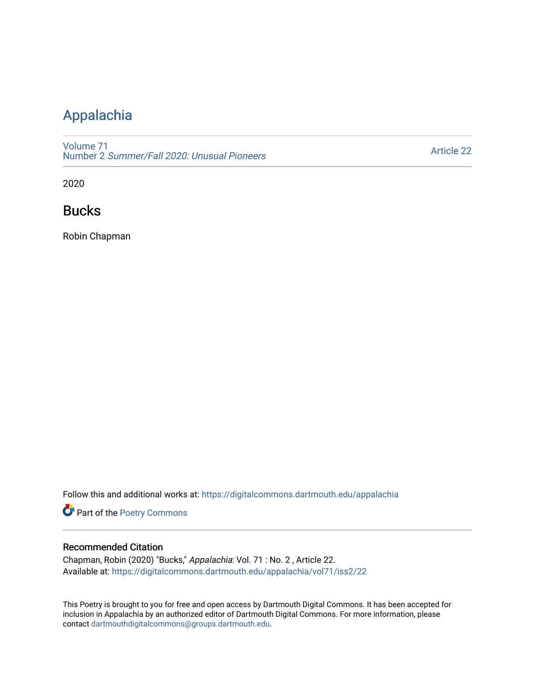## [Appalachia](https://digitalcommons.dartmouth.edu/appalachia)

[Volume 71](https://digitalcommons.dartmouth.edu/appalachia/vol71) Number 2 [Summer/Fall 2020: Unusual Pioneers](https://digitalcommons.dartmouth.edu/appalachia/vol71/iss2)

[Article 22](https://digitalcommons.dartmouth.edu/appalachia/vol71/iss2/22) 

2020

## Bucks

Robin Chapman

Follow this and additional works at: [https://digitalcommons.dartmouth.edu/appalachia](https://digitalcommons.dartmouth.edu/appalachia?utm_source=digitalcommons.dartmouth.edu%2Fappalachia%2Fvol71%2Fiss2%2F22&utm_medium=PDF&utm_campaign=PDFCoverPages)

Part of the [Poetry Commons](http://network.bepress.com/hgg/discipline/1153?utm_source=digitalcommons.dartmouth.edu%2Fappalachia%2Fvol71%2Fiss2%2F22&utm_medium=PDF&utm_campaign=PDFCoverPages) 

## Recommended Citation

Chapman, Robin (2020) "Bucks," Appalachia: Vol. 71 : No. 2 , Article 22. Available at: [https://digitalcommons.dartmouth.edu/appalachia/vol71/iss2/22](https://digitalcommons.dartmouth.edu/appalachia/vol71/iss2/22?utm_source=digitalcommons.dartmouth.edu%2Fappalachia%2Fvol71%2Fiss2%2F22&utm_medium=PDF&utm_campaign=PDFCoverPages) 

This Poetry is brought to you for free and open access by Dartmouth Digital Commons. It has been accepted for inclusion in Appalachia by an authorized editor of Dartmouth Digital Commons. For more information, please contact [dartmouthdigitalcommons@groups.dartmouth.edu.](mailto:dartmouthdigitalcommons@groups.dartmouth.edu)